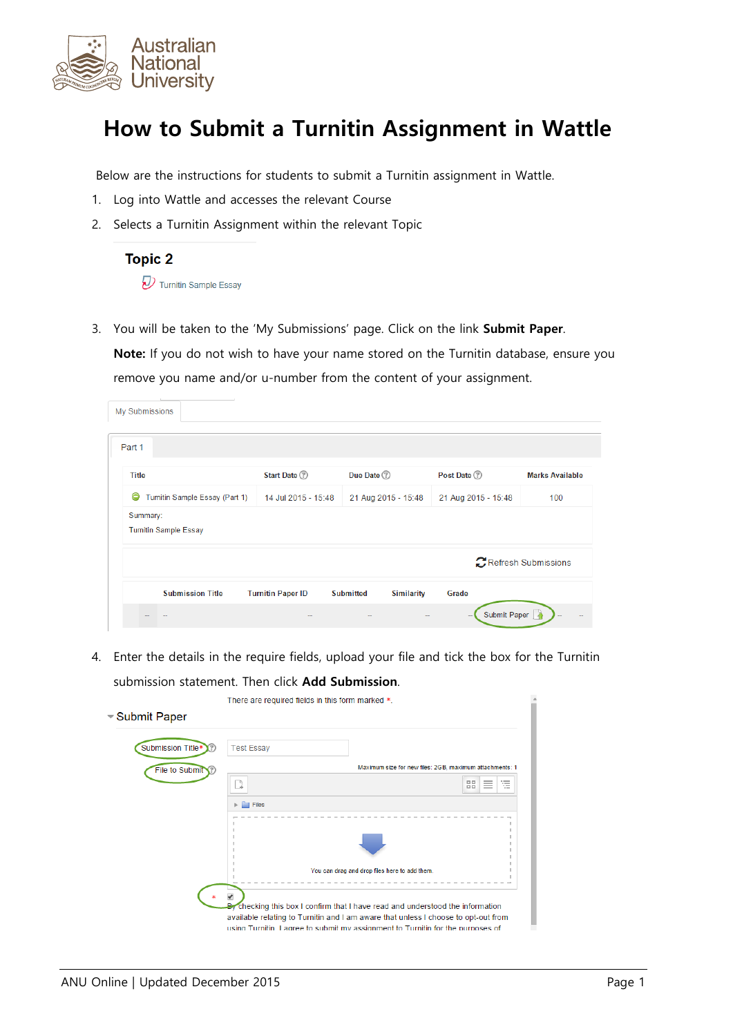

## **How to Submit a Turnitin Assignment in Wattle**

Below are the instructions for students to submit a Turnitin assignment in Wattle.

- 1. Log into Wattle and accesses the relevant Course
- 2. Selects a Turnitin Assignment within the relevant Topic



3. You will be taken to the 'My Submissions' page. Click on the link **Submit Paper**.

**Note:** If you do not wish to have your name stored on the Turnitin database, ensure you remove you name and/or u-number from the content of your assignment.

| My Submissions                           |                                |                          |                                       |                                          |                        |
|------------------------------------------|--------------------------------|--------------------------|---------------------------------------|------------------------------------------|------------------------|
|                                          |                                |                          |                                       |                                          |                        |
| Part 1                                   |                                |                          |                                       |                                          |                        |
| <b>Title</b>                             |                                | Start Date <sup>2</sup>  | Due Date (?)                          | Post Date (?)                            | <b>Marks Available</b> |
| G                                        | Turnitin Sample Essay (Part 1) | 14 Jul 2015 - 15:48      | 21 Aug 2015 - 15:48                   | 21 Aug 2015 - 15:48                      | 100                    |
| Summary:<br><b>Turnitin Sample Essay</b> |                                |                          |                                       |                                          |                        |
|                                          |                                |                          |                                       |                                          | Refresh Submissions    |
|                                          | <b>Submission Title</b>        | <b>Turnitin Paper ID</b> | <b>Submitted</b><br><b>Similarity</b> | Grade                                    |                        |
|                                          |                                |                          |                                       | Submit Paper<br>$\overline{\phantom{a}}$ |                        |

4. Enter the details in the require fields, upload your file and tick the box for the Turnitin submission statement. Then click **Add Submission**.

| ≂Submit Paper     | There are required fields in this form marked *. |                                                                                                                                                                                                                                                        |  |
|-------------------|--------------------------------------------------|--------------------------------------------------------------------------------------------------------------------------------------------------------------------------------------------------------------------------------------------------------|--|
| Submission Title* | <b>Test Essay</b>                                |                                                                                                                                                                                                                                                        |  |
| File to Submit    | þ                                                | Maximum size for new files: 2GB, maximum attachments: 1<br>這<br>噐<br>$=$                                                                                                                                                                               |  |
|                   | I Files                                          |                                                                                                                                                                                                                                                        |  |
|                   |                                                  |                                                                                                                                                                                                                                                        |  |
|                   |                                                  | You can drag and drop files here to add them.                                                                                                                                                                                                          |  |
|                   |                                                  | By checking this box I confirm that I have read and understood the information<br>available relating to Turnitin and I am aware that unless I choose to opt-out from<br>using Turnitin, Lagree to submit my assignment to Turnitin for the purposes of |  |